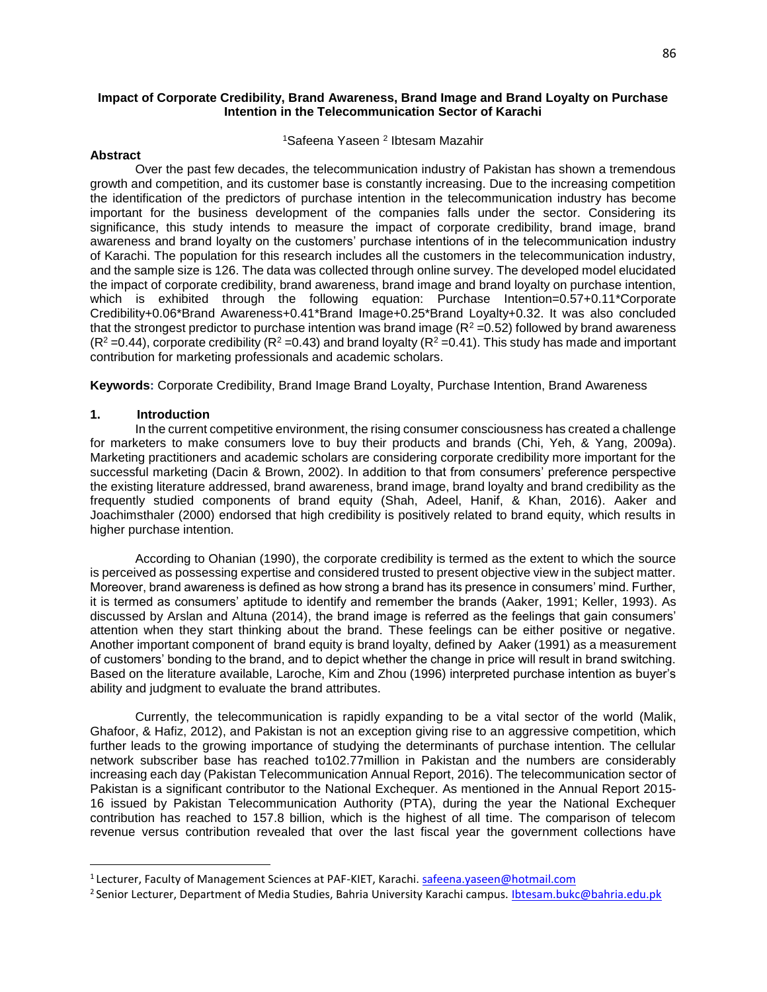#### **Impact of Corporate Credibility, Brand Awareness, Brand Image and Brand Loyalty on Purchase Intention in the Telecommunication Sector of Karachi**

#### <sup>1</sup>Safeena Yaseen <sup>2</sup> Ibtesam Mazahir

#### **Abstract**

Over the past few decades, the telecommunication industry of Pakistan has shown a tremendous growth and competition, and its customer base is constantly increasing. Due to the increasing competition the identification of the predictors of purchase intention in the telecommunication industry has become important for the business development of the companies falls under the sector. Considering its significance, this study intends to measure the impact of corporate credibility, brand image, brand awareness and brand loyalty on the customers' purchase intentions of in the telecommunication industry of Karachi. The population for this research includes all the customers in the telecommunication industry, and the sample size is 126. The data was collected through online survey. The developed model elucidated the impact of corporate credibility, brand awareness, brand image and brand loyalty on purchase intention, which is exhibited through the following equation: Purchase Intention=0.57+0.11\*Corporate Credibility+0.06\*Brand Awareness+0.41\*Brand Image+0.25\*Brand Loyalty+0.32. It was also concluded that the strongest predictor to purchase intention was brand image  $(R^2 = 0.52)$  followed by brand awareness  $(R^2 = 0.44)$ , corporate credibility  $(R^2 = 0.43)$  and brand loyalty  $(R^2 = 0.41)$ . This study has made and important contribution for marketing professionals and academic scholars.

**Keywords:** Corporate Credibility, Brand Image Brand Loyalty, Purchase Intention, Brand Awareness

#### **1. Introduction**

 $\overline{\phantom{a}}$ 

In the current competitive environment, the rising consumer consciousness has created a challenge for marketers to make consumers love to buy their products and brands (Chi, Yeh, & Yang, 2009a). Marketing practitioners and academic scholars are considering corporate credibility more important for the successful marketing (Dacin & Brown, 2002). In addition to that from consumers' preference perspective the existing literature addressed, brand awareness, brand image, brand loyalty and brand credibility as the frequently studied components of brand equity (Shah, Adeel, Hanif, & Khan, 2016). Aaker and Joachimsthaler (2000) endorsed that high credibility is positively related to brand equity, which results in higher purchase intention.

According to Ohanian (1990), the corporate credibility is termed as the extent to which the source is perceived as possessing expertise and considered trusted to present objective view in the subject matter. Moreover, brand awareness is defined as how strong a brand has its presence in consumers' mind. Further, it is termed as consumers' aptitude to identify and remember the brands (Aaker, 1991; Keller, 1993). As discussed by Arslan and Altuna (2014), the brand image is referred as the feelings that gain consumers' attention when they start thinking about the brand. These feelings can be either positive or negative. Another important component of brand equity is brand loyalty, defined by Aaker (1991) as a measurement of customers' bonding to the brand, and to depict whether the change in price will result in brand switching. Based on the literature available, Laroche, Kim and Zhou (1996) interpreted purchase intention as buyer's ability and judgment to evaluate the brand attributes.

Currently, the telecommunication is rapidly expanding to be a vital sector of the world (Malik, Ghafoor, & Hafiz, 2012), and Pakistan is not an exception giving rise to an aggressive competition, which further leads to the growing importance of studying the determinants of purchase intention. The cellular network subscriber base has reached to102.77million in Pakistan and the numbers are considerably increasing each day (Pakistan Telecommunication Annual Report, 2016). The telecommunication sector of Pakistan is a significant contributor to the National Exchequer. As mentioned in the Annual Report 2015- 16 issued by Pakistan Telecommunication Authority (PTA), during the year the National Exchequer contribution has reached to 157.8 billion, which is the highest of all time. The comparison of telecom revenue versus contribution revealed that over the last fiscal year the government collections have

<sup>1</sup>Lecturer, Faculty of Management Sciences at PAF-KIET, Karachi. safeena.yaseen@hotmail.com

<sup>&</sup>lt;sup>2</sup> Senior Lecturer, Department of Media Studies, Bahria University Karachi campus. Ibtesam.bukc@bahria.edu.pk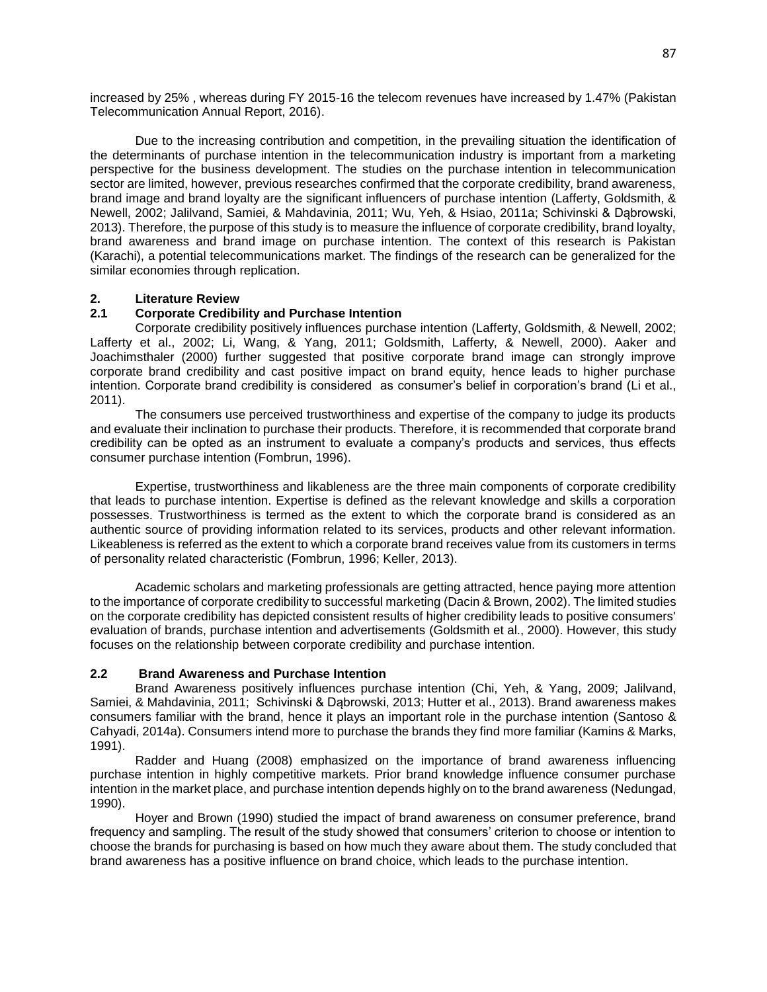increased by 25% , whereas during FY 2015-16 the telecom revenues have increased by 1.47% (Pakistan Telecommunication Annual Report, 2016).

Due to the increasing contribution and competition, in the prevailing situation the identification of the determinants of purchase intention in the telecommunication industry is important from a marketing perspective for the business development. The studies on the purchase intention in telecommunication sector are limited, however, previous researches confirmed that the corporate credibility, brand awareness, brand image and brand loyalty are the significant influencers of purchase intention (Lafferty, Goldsmith, & Newell, 2002; Jalilvand, Samiei, & Mahdavinia, 2011; Wu, Yeh, & Hsiao, 2011a; Schivinski & Dąbrowski, 2013). Therefore, the purpose of this study is to measure the influence of corporate credibility, brand loyalty, brand awareness and brand image on purchase intention. The context of this research is Pakistan (Karachi), a potential telecommunications market. The findings of the research can be generalized for the similar economies through replication.

### **2. Literature Review**

# **2.1 Corporate Credibility and Purchase Intention**

Corporate credibility positively influences purchase intention (Lafferty, Goldsmith, & Newell, 2002; Lafferty et al., 2002; Li, Wang, & Yang, 2011; Goldsmith, Lafferty, & Newell, 2000). Aaker and Joachimsthaler (2000) further suggested that positive corporate brand image can strongly improve corporate brand credibility and cast positive impact on brand equity, hence leads to higher purchase intention. Corporate brand credibility is considered as consumer's belief in corporation's brand (Li et al., 2011).

The consumers use perceived trustworthiness and expertise of the company to judge its products and evaluate their inclination to purchase their products. Therefore, it is recommended that corporate brand credibility can be opted as an instrument to evaluate a company's products and services, thus effects consumer purchase intention (Fombrun, 1996).

Expertise, trustworthiness and likableness are the three main components of corporate credibility that leads to purchase intention. Expertise is defined as the relevant knowledge and skills a corporation possesses. Trustworthiness is termed as the extent to which the corporate brand is considered as an authentic source of providing information related to its services, products and other relevant information. Likeableness is referred as the extent to which a corporate brand receives value from its customers in terms of personality related characteristic (Fombrun, 1996; Keller, 2013).

Academic scholars and marketing professionals are getting attracted, hence paying more attention to the importance of corporate credibility to successful marketing (Dacin & Brown, 2002). The limited studies on the corporate credibility has depicted consistent results of higher credibility leads to positive consumers' evaluation of brands, purchase intention and advertisements (Goldsmith et al., 2000). However, this study focuses on the relationship between corporate credibility and purchase intention.

### **2.2 Brand Awareness and Purchase Intention**

Brand Awareness positively influences purchase intention (Chi, Yeh, & Yang, 2009; Jalilvand, Samiei, & Mahdavinia, 2011; Schivinski & Dąbrowski, 2013; Hutter et al., 2013). Brand awareness makes consumers familiar with the brand, hence it plays an important role in the purchase intention (Santoso & Cahyadi, 2014a). Consumers intend more to purchase the brands they find more familiar (Kamins & Marks, 1991).

Radder and Huang (2008) emphasized on the importance of brand awareness influencing purchase intention in highly competitive markets. Prior brand knowledge influence consumer purchase intention in the market place, and purchase intention depends highly on to the brand awareness (Nedungad, 1990).

Hoyer and Brown (1990) studied the impact of brand awareness on consumer preference, brand frequency and sampling. The result of the study showed that consumers' criterion to choose or intention to choose the brands for purchasing is based on how much they aware about them. The study concluded that brand awareness has a positive influence on brand choice, which leads to the purchase intention.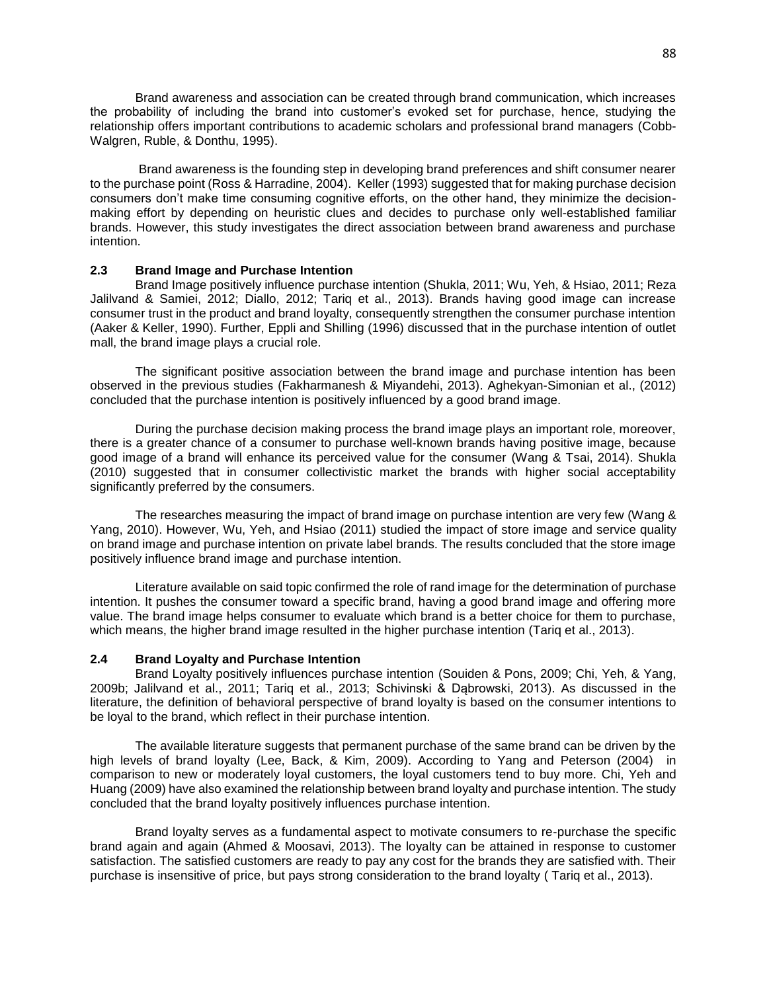Brand awareness and association can be created through brand communication, which increases the probability of including the brand into customer's evoked set for purchase, hence, studying the relationship offers important contributions to academic scholars and professional brand managers (Cobb-Walgren, Ruble, & Donthu, 1995).

Brand awareness is the founding step in developing brand preferences and shift consumer nearer to the purchase point (Ross & Harradine, 2004). Keller (1993) suggested that for making purchase decision consumers don't make time consuming cognitive efforts, on the other hand, they minimize the decisionmaking effort by depending on heuristic clues and decides to purchase only well-established familiar brands. However, this study investigates the direct association between brand awareness and purchase intention.

#### **2.3 Brand Image and Purchase Intention**

Brand Image positively influence purchase intention (Shukla, 2011; Wu, Yeh, & Hsiao, 2011; Reza Jalilvand & Samiei, 2012; Diallo, 2012; Tariq et al., 2013). Brands having good image can increase consumer trust in the product and brand loyalty, consequently strengthen the consumer purchase intention (Aaker & Keller, 1990). Further, Eppli and Shilling (1996) discussed that in the purchase intention of outlet mall, the brand image plays a crucial role.

The significant positive association between the brand image and purchase intention has been observed in the previous studies (Fakharmanesh & Miyandehi, 2013). Aghekyan-Simonian et al., (2012) concluded that the purchase intention is positively influenced by a good brand image.

During the purchase decision making process the brand image plays an important role, moreover, there is a greater chance of a consumer to purchase well-known brands having positive image, because good image of a brand will enhance its perceived value for the consumer (Wang & Tsai, 2014). Shukla (2010) suggested that in consumer collectivistic market the brands with higher social acceptability significantly preferred by the consumers.

The researches measuring the impact of brand image on purchase intention are very few (Wang & Yang, 2010). However, Wu, Yeh, and Hsiao (2011) studied the impact of store image and service quality on brand image and purchase intention on private label brands. The results concluded that the store image positively influence brand image and purchase intention.

Literature available on said topic confirmed the role of rand image for the determination of purchase intention. It pushes the consumer toward a specific brand, having a good brand image and offering more value. The brand image helps consumer to evaluate which brand is a better choice for them to purchase, which means, the higher brand image resulted in the higher purchase intention (Tariq et al., 2013).

#### **2.4 Brand Loyalty and Purchase Intention**

Brand Loyalty positively influences purchase intention (Souiden & Pons, 2009; Chi, Yeh, & Yang, 2009b; Jalilvand et al., 2011; Tariq et al., 2013; Schivinski & Dąbrowski, 2013). As discussed in the literature, the definition of behavioral perspective of brand loyalty is based on the consumer intentions to be loyal to the brand, which reflect in their purchase intention.

The available literature suggests that permanent purchase of the same brand can be driven by the high levels of brand loyalty (Lee, Back, & Kim, 2009). According to Yang and Peterson (2004) in comparison to new or moderately loyal customers, the loyal customers tend to buy more. Chi, Yeh and Huang (2009) have also examined the relationship between brand loyalty and purchase intention. The study concluded that the brand loyalty positively influences purchase intention.

Brand loyalty serves as a fundamental aspect to motivate consumers to re-purchase the specific brand again and again (Ahmed & Moosavi, 2013). The loyalty can be attained in response to customer satisfaction. The satisfied customers are ready to pay any cost for the brands they are satisfied with. Their purchase is insensitive of price, but pays strong consideration to the brand loyalty ( Tariq et al., 2013).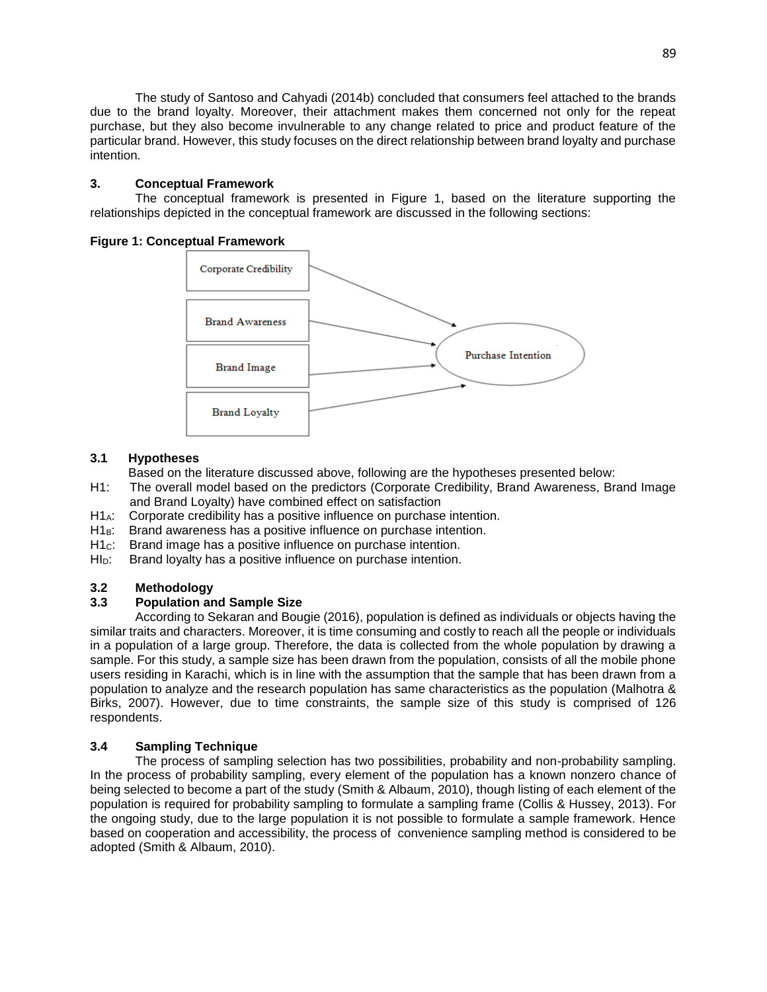The study of Santoso and Cahyadi (2014b) concluded that consumers feel attached to the brands due to the brand loyalty. Moreover, their attachment makes them concerned not only for the repeat purchase, but they also become invulnerable to any change related to price and product feature of the particular brand. However, this study focuses on the direct relationship between brand loyalty and purchase intention.

# **3. Conceptual Framework**

The conceptual framework is presented in Figure 1, based on the literature supporting the relationships depicted in the conceptual framework are discussed in the following sections:

### **Figure 1: Conceptual Framework**



# **3.1 Hypotheses**

Based on the literature discussed above, following are the hypotheses presented below:

- H1: The overall model based on the predictors (Corporate Credibility, Brand Awareness, Brand Image and Brand Loyalty) have combined effect on satisfaction
- H1A: Corporate credibility has a positive influence on purchase intention.
- H1<sub>B</sub>: Brand awareness has a positive influence on purchase intention.
- H<sub>1c</sub>: Brand image has a positive influence on purchase intention.
- HI<sub>D</sub>: Brand loyalty has a positive influence on purchase intention.

# **3.2 Methodology**

# **3.3 Population and Sample Size**

According to Sekaran and Bougie (2016), population is defined as individuals or objects having the similar traits and characters. Moreover, it is time consuming and costly to reach all the people or individuals in a population of a large group. Therefore, the data is collected from the whole population by drawing a sample. For this study, a sample size has been drawn from the population, consists of all the mobile phone users residing in Karachi, which is in line with the assumption that the sample that has been drawn from a population to analyze and the research population has same characteristics as the population (Malhotra & Birks, 2007). However, due to time constraints, the sample size of this study is comprised of 126 respondents.

# **3.4 Sampling Technique**

The process of sampling selection has two possibilities, probability and non-probability sampling. In the process of probability sampling, every element of the population has a known nonzero chance of being selected to become a part of the study (Smith & Albaum, 2010), though listing of each element of the population is required for probability sampling to formulate a sampling frame (Collis & Hussey, 2013). For the ongoing study, due to the large population it is not possible to formulate a sample framework. Hence based on cooperation and accessibility, the process of convenience sampling method is considered to be adopted (Smith & Albaum, 2010).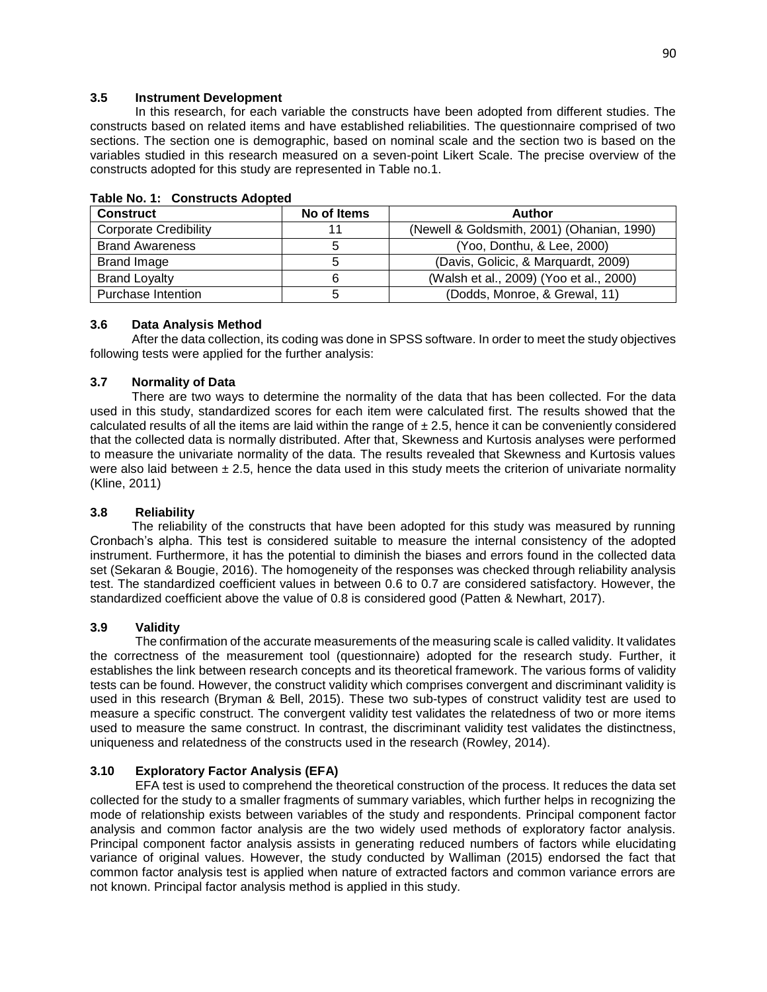### **3.5 Instrument Development**

In this research, for each variable the constructs have been adopted from different studies. The constructs based on related items and have established reliabilities. The questionnaire comprised of two sections. The section one is demographic, based on nominal scale and the section two is based on the variables studied in this research measured on a seven-point Likert Scale. The precise overview of the constructs adopted for this study are represented in Table no.1.

| <b>Construct</b>             | No of Items | <b>Author</b>                              |
|------------------------------|-------------|--------------------------------------------|
| <b>Corporate Credibility</b> | 11          | (Newell & Goldsmith, 2001) (Ohanian, 1990) |
| <b>Brand Awareness</b>       |             | (Yoo, Donthu, & Lee, 2000)                 |
| <b>Brand Image</b>           |             | (Davis, Golicic, & Marguardt, 2009)        |
| <b>Brand Loyalty</b>         |             | (Walsh et al., 2009) (Yoo et al., 2000)    |
| Purchase Intention           |             | (Dodds, Monroe, & Grewal, 11)              |

#### **Table No. 1: Constructs Adopted**

### **3.6 Data Analysis Method**

 After the data collection, its coding was done in SPSS software. In order to meet the study objectives following tests were applied for the further analysis:

### **3.7 Normality of Data**

 There are two ways to determine the normality of the data that has been collected. For the data used in this study, standardized scores for each item were calculated first. The results showed that the calculated results of all the items are laid within the range of  $\pm 2.5$ , hence it can be conveniently considered that the collected data is normally distributed. After that, Skewness and Kurtosis analyses were performed to measure the univariate normality of the data. The results revealed that Skewness and Kurtosis values were also laid between  $\pm 2.5$ , hence the data used in this study meets the criterion of univariate normality (Kline, 2011)

### **3.8 Reliability**

 The reliability of the constructs that have been adopted for this study was measured by running Cronbach's alpha. This test is considered suitable to measure the internal consistency of the adopted instrument. Furthermore, it has the potential to diminish the biases and errors found in the collected data set (Sekaran & Bougie, 2016). The homogeneity of the responses was checked through reliability analysis test. The standardized coefficient values in between 0.6 to 0.7 are considered satisfactory. However, the standardized coefficient above the value of 0.8 is considered good (Patten & Newhart, 2017).

### **3.9 Validity**

The confirmation of the accurate measurements of the measuring scale is called validity. It validates the correctness of the measurement tool (questionnaire) adopted for the research study. Further, it establishes the link between research concepts and its theoretical framework. The various forms of validity tests can be found. However, the construct validity which comprises convergent and discriminant validity is used in this research (Bryman & Bell, 2015). These two sub-types of construct validity test are used to measure a specific construct. The convergent validity test validates the relatedness of two or more items used to measure the same construct. In contrast, the discriminant validity test validates the distinctness, uniqueness and relatedness of the constructs used in the research (Rowley, 2014).

# **3.10 Exploratory Factor Analysis (EFA)**

EFA test is used to comprehend the theoretical construction of the process. It reduces the data set collected for the study to a smaller fragments of summary variables, which further helps in recognizing the mode of relationship exists between variables of the study and respondents. Principal component factor analysis and common factor analysis are the two widely used methods of exploratory factor analysis. Principal component factor analysis assists in generating reduced numbers of factors while elucidating variance of original values. However, the study conducted by Walliman (2015) endorsed the fact that common factor analysis test is applied when nature of extracted factors and common variance errors are not known. Principal factor analysis method is applied in this study.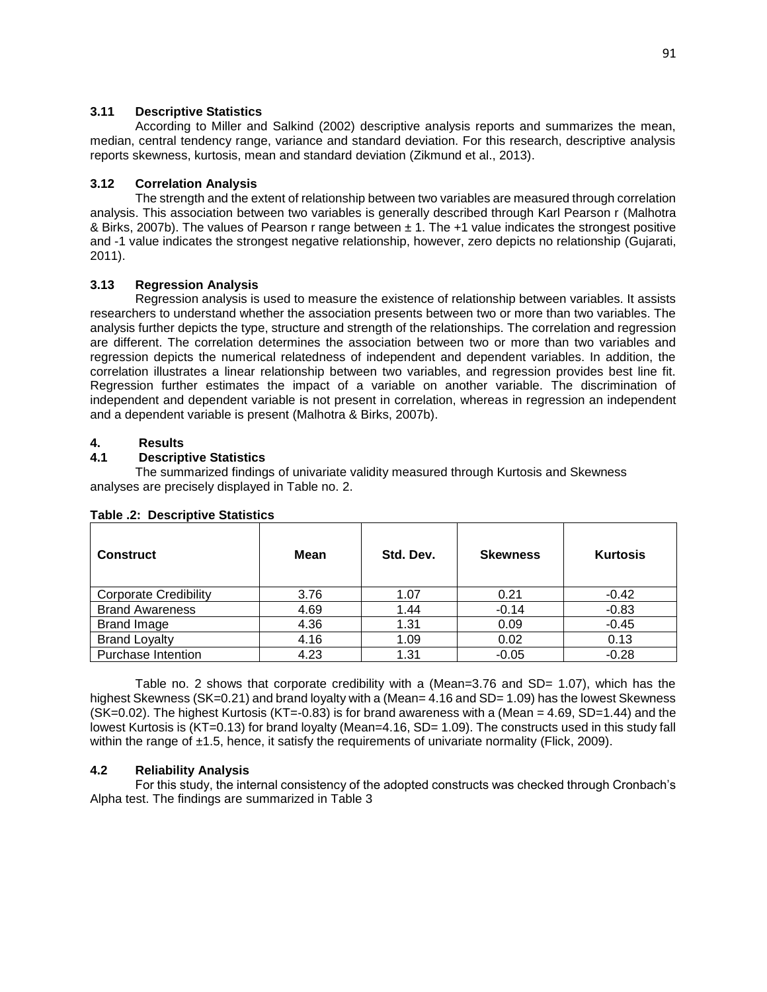### **3.11 Descriptive Statistics**

According to Miller and Salkind (2002) descriptive analysis reports and summarizes the mean, median, central tendency range, variance and standard deviation. For this research, descriptive analysis reports skewness, kurtosis, mean and standard deviation (Zikmund et al., 2013).

# **3.12 Correlation Analysis**

The strength and the extent of relationship between two variables are measured through correlation analysis. This association between two variables is generally described through Karl Pearson r (Malhotra & Birks, 2007b). The values of Pearson r range between  $\pm$  1. The +1 value indicates the strongest positive and -1 value indicates the strongest negative relationship, however, zero depicts no relationship (Gujarati, 2011).

# **3.13 Regression Analysis**

Regression analysis is used to measure the existence of relationship between variables. It assists researchers to understand whether the association presents between two or more than two variables. The analysis further depicts the type, structure and strength of the relationships. The correlation and regression are different. The correlation determines the association between two or more than two variables and regression depicts the numerical relatedness of independent and dependent variables. In addition, the correlation illustrates a linear relationship between two variables, and regression provides best line fit. Regression further estimates the impact of a variable on another variable. The discrimination of independent and dependent variable is not present in correlation, whereas in regression an independent and a dependent variable is present (Malhotra & Birks, 2007b).

# **4. Results**

# **4.1 Descriptive Statistics**

The summarized findings of univariate validity measured through Kurtosis and Skewness analyses are precisely displayed in Table no. 2.

| <b>Construct</b>             | Mean | Std. Dev. | <b>Skewness</b> | <b>Kurtosis</b> |
|------------------------------|------|-----------|-----------------|-----------------|
| <b>Corporate Credibility</b> | 3.76 | 1.07      | 0.21            | $-0.42$         |
| <b>Brand Awareness</b>       | 4.69 | 1.44      | $-0.14$         | $-0.83$         |
| <b>Brand Image</b>           | 4.36 | 1.31      | 0.09            | $-0.45$         |
| <b>Brand Loyalty</b>         | 4.16 | 1.09      | 0.02            | 0.13            |
| Purchase Intention           | 4.23 | 1.31      | $-0.05$         | $-0.28$         |

### **Table .2: Descriptive Statistics**

Table no. 2 shows that corporate credibility with a (Mean=3.76 and SD= 1.07), which has the highest Skewness (SK=0.21) and brand loyalty with a (Mean= 4.16 and SD= 1.09) has the lowest Skewness  $(SK=0.02)$ . The highest Kurtosis  $(KT=-0.83)$  is for brand awareness with a (Mean  $= 4.69$ , SD=1.44) and the lowest Kurtosis is (KT=0.13) for brand loyalty (Mean=4.16, SD= 1.09). The constructs used in this study fall within the range of  $\pm 1.5$ , hence, it satisfy the requirements of univariate normality (Flick, 2009).

# **4.2 Reliability Analysis**

For this study, the internal consistency of the adopted constructs was checked through Cronbach's Alpha test. The findings are summarized in Table 3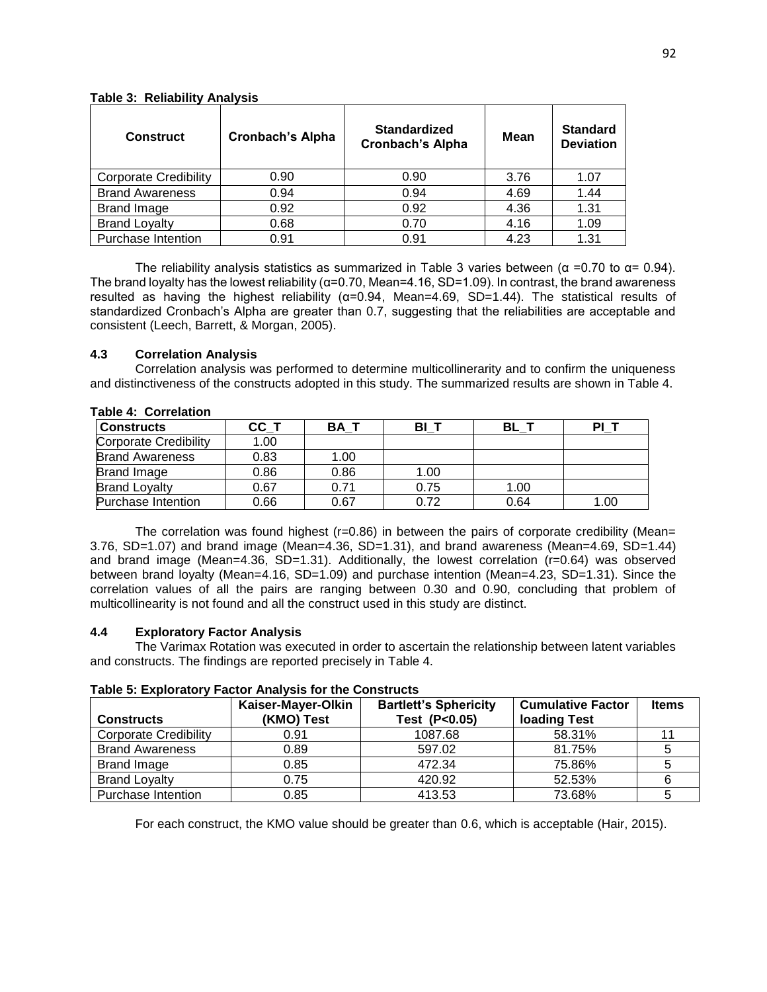| <b>Construct</b>             | <b>Cronbach's Alpha</b> | <b>Standardized</b><br><b>Cronbach's Alpha</b> | Mean | <b>Standard</b><br><b>Deviation</b> |
|------------------------------|-------------------------|------------------------------------------------|------|-------------------------------------|
| <b>Corporate Credibility</b> | 0.90                    | 0.90                                           | 3.76 | 1.07                                |
| <b>Brand Awareness</b>       | 0.94                    | 0.94                                           | 4.69 | 1.44                                |
| <b>Brand Image</b>           | 0.92                    | 0.92                                           | 4.36 | 1.31                                |
| <b>Brand Loyalty</b>         | 0.68                    | 0.70                                           | 4.16 | 1.09                                |
| <b>Purchase Intention</b>    | 0.91                    | 0.91                                           | 4.23 | 1.31                                |

#### **Table 3: Reliability Analysis**

The reliability analysis statistics as summarized in Table 3 varies between ( $\alpha$  =0.70 to  $\alpha$ = 0.94). The brand loyalty has the lowest reliability ( $\alpha$ =0.70, Mean=4.16, SD=1.09). In contrast, the brand awareness resulted as having the highest reliability (α=0.94, Mean=4.69, SD=1.44). The statistical results of standardized Cronbach's Alpha are greater than 0.7, suggesting that the reliabilities are acceptable and consistent (Leech, Barrett, & Morgan, 2005).

# **4.3 Correlation Analysis**

Correlation analysis was performed to determine multicollinerarity and to confirm the uniqueness and distinctiveness of the constructs adopted in this study. The summarized results are shown in Table 4.

| <b>Constructs</b>      | $CC_$ T | BA 1 | BI   | BL   | PI_  |
|------------------------|---------|------|------|------|------|
| Corporate Credibility  | 1.00    |      |      |      |      |
| <b>Brand Awareness</b> | 0.83    | 1.00 |      |      |      |
| <b>Brand Image</b>     | 0.86    | 0.86 | 1.00 |      |      |
| <b>Brand Loyalty</b>   | 0.67    | 0.71 | 0.75 | 1.00 |      |
| Purchase Intention     | 0.66    | 0.67 | 0.72 | 0.64 | 1.00 |

#### **Table 4: Correlation**

The correlation was found highest ( $r=0.86$ ) in between the pairs of corporate credibility (Mean= 3.76, SD=1.07) and brand image (Mean=4.36, SD=1.31), and brand awareness (Mean=4.69, SD=1.44) and brand image (Mean=4.36, SD=1.31). Additionally, the lowest correlation (r=0.64) was observed between brand loyalty (Mean=4.16, SD=1.09) and purchase intention (Mean=4.23, SD=1.31). Since the correlation values of all the pairs are ranging between 0.30 and 0.90, concluding that problem of multicollinearity is not found and all the construct used in this study are distinct.

### **4.4 Exploratory Factor Analysis**

The Varimax Rotation was executed in order to ascertain the relationship between latent variables and constructs. The findings are reported precisely in Table 4.

### **Table 5: Exploratory Factor Analysis for the Constructs**

| <b>Constructs</b>            | Kaiser-Mayer-Olkin<br>(KMO) Test | <b>Bartlett's Sphericity</b><br>Test (P<0.05) | <b>Cumulative Factor</b><br>loading Test | <b>Items</b> |
|------------------------------|----------------------------------|-----------------------------------------------|------------------------------------------|--------------|
| <b>Corporate Credibility</b> | 0.91                             | 1087.68                                       | 58.31%                                   |              |
| <b>Brand Awareness</b>       | 0.89                             | 597.02                                        | 81.75%                                   |              |
| Brand Image                  | 0.85                             | 472.34                                        | 75.86%                                   |              |
| <b>Brand Loyalty</b>         | 0.75                             | 420.92                                        | 52.53%                                   |              |
| Purchase Intention           | 0.85                             | 413.53                                        | 73.68%                                   |              |

For each construct, the KMO value should be greater than 0.6, which is acceptable (Hair, 2015).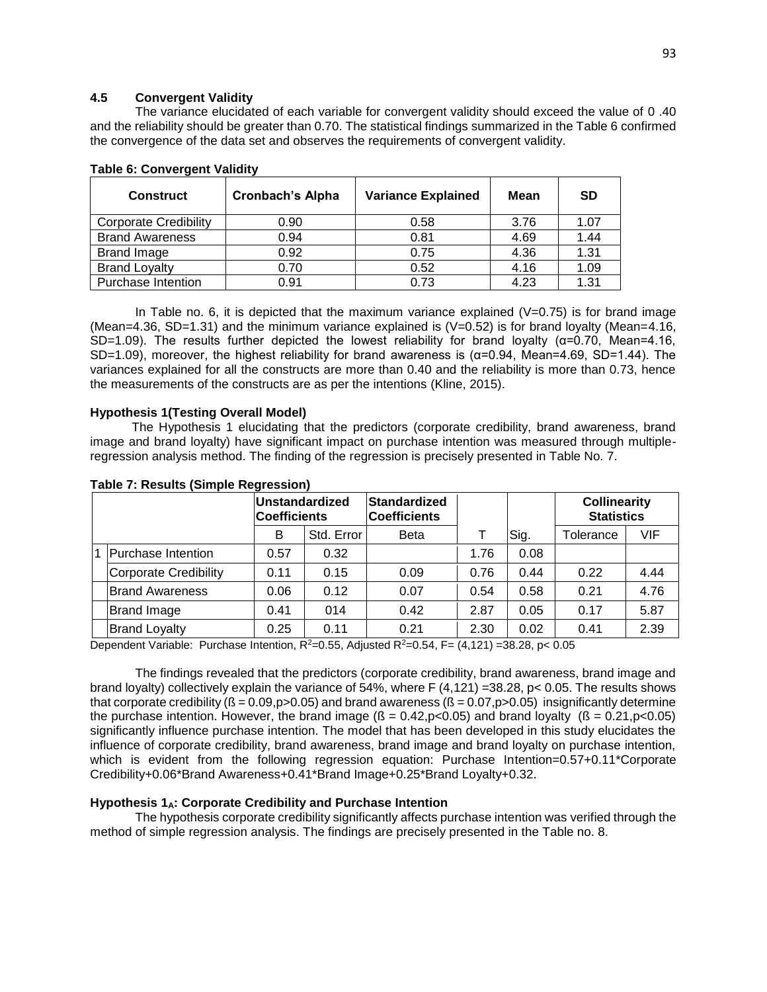## **4.5 Convergent Validity**

The variance elucidated of each variable for convergent validity should exceed the value of 0 .40 and the reliability should be greater than 0.70. The statistical findings summarized in the Table 6 confirmed the convergence of the data set and observes the requirements of convergent validity.

| <b>Construct</b>             | <b>Cronbach's Alpha</b> | <b>Variance Explained</b> | Mean | SD   |
|------------------------------|-------------------------|---------------------------|------|------|
| <b>Corporate Credibility</b> | 0.90                    | 0.58                      | 3.76 | 1.07 |
| <b>Brand Awareness</b>       | 0.94                    | 0.81                      | 4.69 | 1.44 |
| <b>Brand Image</b>           | 0.92                    | 0.75                      | 4.36 | 1.31 |
| <b>Brand Loyalty</b>         | 0.70                    | 0.52                      | 4.16 | 1.09 |
| Purchase Intention           | 0.91                    | 0.73                      | 4.23 | 1.31 |

### **Table 6: Convergent Validity**

In Table no. 6, it is depicted that the maximum variance explained  $(V=0.75)$  is for brand image (Mean=4.36, SD=1.31) and the minimum variance explained is  $(V=0.52)$  is for brand loyalty (Mean=4.16, SD=1.09). The results further depicted the lowest reliability for brand loyalty ( $\alpha$ =0.70, Mean=4.16, SD=1.09), moreover, the highest reliability for brand awareness is ( $\alpha$ =0.94, Mean=4.69, SD=1.44). The variances explained for all the constructs are more than 0.40 and the reliability is more than 0.73, hence the measurements of the constructs are as per the intentions (Kline, 2015).

#### **Hypothesis 1(Testing Overall Model)**

 The Hypothesis 1 elucidating that the predictors (corporate credibility, brand awareness, brand image and brand loyalty) have significant impact on purchase intention was measured through multipleregression analysis method. The finding of the regression is precisely presented in Table No. 7.

|                        | Unstandardized<br><b>Coefficients</b> |            | Standardized<br><b>Coefficients</b> |      |      | <b>Collinearity</b><br><b>Statistics</b> |      |
|------------------------|---------------------------------------|------------|-------------------------------------|------|------|------------------------------------------|------|
|                        | B                                     | Std. Error | <b>Beta</b>                         |      | Sig. | Tolerance                                | VIF  |
| Purchase Intention     | 0.57                                  | 0.32       |                                     | 1.76 | 0.08 |                                          |      |
| Corporate Credibility  | 0.11                                  | 0.15       | 0.09                                | 0.76 | 0.44 | 0.22                                     | 4.44 |
| <b>Brand Awareness</b> | 0.06                                  | 0.12       | 0.07                                | 0.54 | 0.58 | 0.21                                     | 4.76 |
| <b>Brand Image</b>     | 0.41                                  | 014        | 0.42                                | 2.87 | 0.05 | 0.17                                     | 5.87 |
| <b>Brand Loyalty</b>   | 0.25                                  | 0.11       | 0.21                                | 2.30 | 0.02 | 0.41                                     | 2.39 |

#### **Table 7: Results (Simple Regression)**

Dependent Variable: Purchase Intention,  $R^2=0.55$ , Adjusted  $R^2=0.54$ , F= (4,121) =38.28, p< 0.05

The findings revealed that the predictors (corporate credibility, brand awareness, brand image and brand loyalty) collectively explain the variance of 54%, where F (4,121) =38.28, p< 0.05. The results shows that corporate credibility ( $\beta = 0.09$ ,  $p > 0.05$ ) and brand awareness ( $\beta = 0.07$ ,  $p > 0.05$ ) insignificantly determine the purchase intention. However, the brand image ( $\beta = 0.42$ ,  $p < 0.05$ ) and brand loyalty ( $\beta = 0.21$ ,  $p < 0.05$ ) significantly influence purchase intention. The model that has been developed in this study elucidates the influence of corporate credibility, brand awareness, brand image and brand loyalty on purchase intention, which is evident from the following regression equation: Purchase Intention=0.57+0.11\*Corporate Credibility+0.06\*Brand Awareness+0.41\*Brand Image+0.25\*Brand Loyalty+0.32.

#### **Hypothesis 1A: Corporate Credibility and Purchase Intention**

The hypothesis corporate credibility significantly affects purchase intention was verified through the method of simple regression analysis. The findings are precisely presented in the Table no. 8.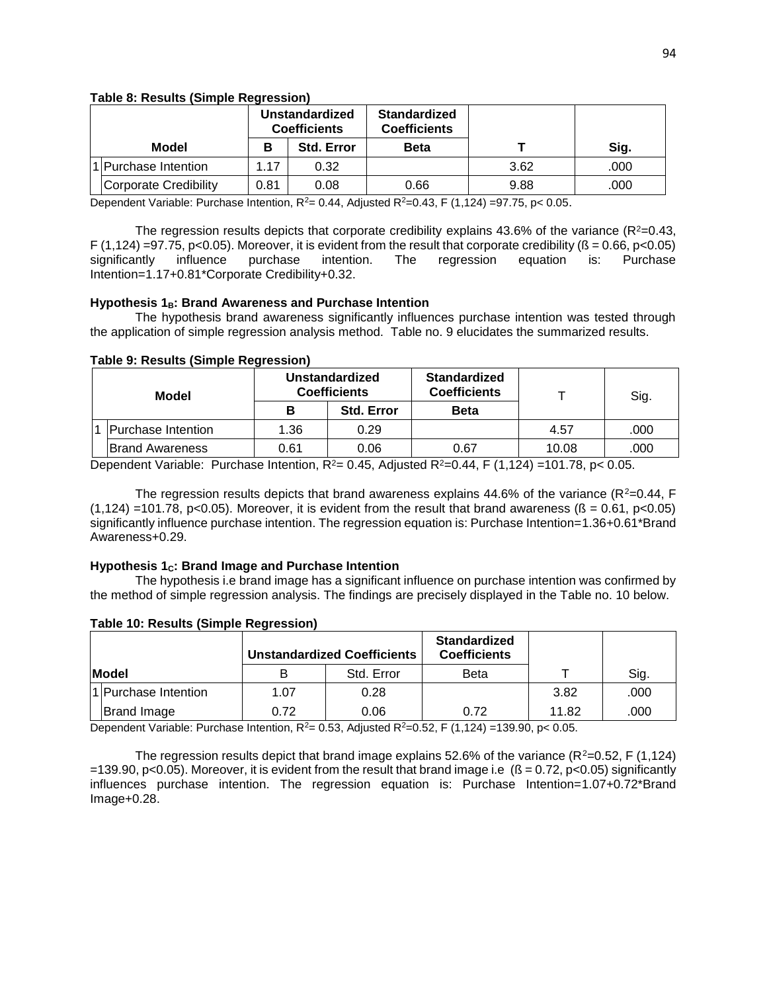#### **Table 8: Results (Simple Regression)**

|  |                       |      | Unstandardized<br><b>Coefficients</b> | <b>Standardized</b><br><b>Coefficients</b> |      |      |  |
|--|-----------------------|------|---------------------------------------|--------------------------------------------|------|------|--|
|  | Model                 | в    | <b>Std. Error</b>                     | <b>Beta</b>                                |      | Sig. |  |
|  | Purchase Intention    | 1.17 | 0.32                                  |                                            | 3.62 | .000 |  |
|  | Corporate Credibility | 0.81 | 0.08                                  | 0.66                                       | 9.88 | .000 |  |

Dependent Variable: Purchase Intention,  $R^2 = 0.44$ , Adjusted  $R^2 = 0.43$ , F (1,124) =97.75, p< 0.05.

The regression results depicts that corporate credibility explains 43.6% of the variance ( $R^2$ =0.43, F (1,124) =97.75, p<0.05). Moreover, it is evident from the result that corporate credibility ( $\beta$  = 0.66, p<0.05) significantly influence purchase intention. The regression equation is: Purchase Intention=1.17+0.81\*Corporate Credibility+0.32.

### **Hypothesis 1B: Brand Awareness and Purchase Intention**

The hypothesis brand awareness significantly influences purchase intention was tested through the application of simple regression analysis method. Table no. 9 elucidates the summarized results.

| Model                     |      | <b>Standardized</b><br><b>Unstandardized</b><br><b>Coefficients</b><br><b>Coefficients</b> |             |       | Sig. |
|---------------------------|------|--------------------------------------------------------------------------------------------|-------------|-------|------|
|                           | в    | <b>Std. Error</b>                                                                          | <b>Beta</b> |       |      |
| <b>Purchase Intention</b> | 1.36 | 0.29                                                                                       |             | 4.57  | .000 |
| <b>Brand Awareness</b>    | 0.61 | 0.06                                                                                       | 0.67        | 10.08 | .000 |

Dependent Variable: Purchase Intention,  $R^2 = 0.45$ , Adjusted  $R^2 = 0.44$ , F (1,124) =101.78, p< 0.05.

The regression results depicts that brand awareness explains 44.6% of the variance ( $R^2$ =0.44, F  $(1,124)$  =101.78, p<0.05). Moreover, it is evident from the result that brand awareness ( $\beta$  = 0.61, p<0.05) significantly influence purchase intention. The regression equation is: Purchase Intention=1.36+0.61\*Brand Awareness+0.29.

### **Hypothesis 1C: Brand Image and Purchase Intention**

The hypothesis i.e brand image has a significant influence on purchase intention was confirmed by the method of simple regression analysis. The findings are precisely displayed in the Table no. 10 below.

|              |                      | <b>Unstandardized Coefficients</b> |            | <b>Standardized</b><br><b>Coefficients</b> |       |      |
|--------------|----------------------|------------------------------------|------------|--------------------------------------------|-------|------|
| <b>Model</b> |                      |                                    | Std. Error | Beta                                       |       | Sig. |
|              | 1 Purchase Intention | 1.07                               | 0.28       |                                            | 3.82  | .000 |
|              | <b>Brand Image</b>   | 0.72                               | 0.06       | 0.72                                       | 11.82 | .000 |

### **Table 10: Results (Simple Regression)**

Dependent Variable: Purchase Intention,  $R^2 = 0.53$ , Adjusted  $R^2 = 0.52$ , F (1,124) =139.90, p< 0.05.

The regression results depict that brand image explains 52.6% of the variance ( $R^2$ =0.52, F (1,124)  $=139.90$ , p<0.05). Moreover, it is evident from the result that brand image i.e ( $\beta = 0.72$ , p<0.05) significantly influences purchase intention. The regression equation is: Purchase Intention=1.07+0.72\*Brand Image+0.28.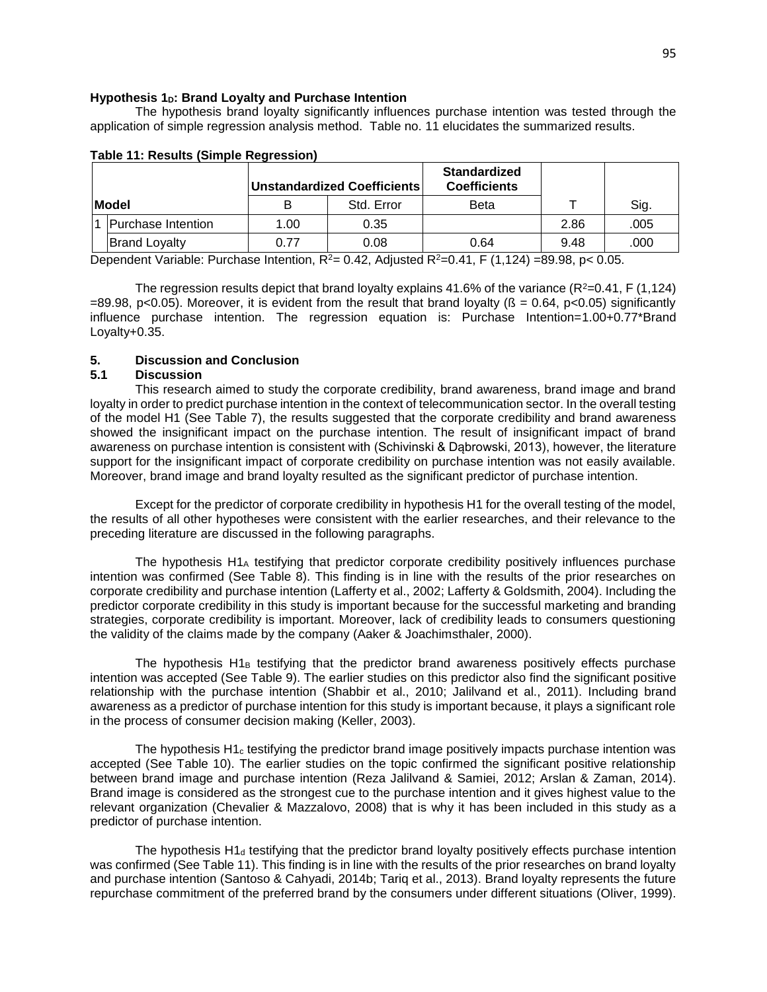#### **Hypothesis 1D: Brand Loyalty and Purchase Intention**

The hypothesis brand loyalty significantly influences purchase intention was tested through the application of simple regression analysis method. Table no. 11 elucidates the summarized results.

|  |                      |      | <b>Unstandardized Coefficients</b> | <b>Standardized</b><br><b>Coefficients</b> |      |      |
|--|----------------------|------|------------------------------------|--------------------------------------------|------|------|
|  | <b>Model</b>         |      | Std. Error                         | Beta                                       |      | Sig. |
|  | Purchase Intention   | 1.00 | 0.35                               |                                            | 2.86 | .005 |
|  | <b>Brand Loyalty</b> | 0.77 | 0.08                               | 0.64                                       | 9.48 | .000 |

#### **Table 11: Results (Simple Regression)**

Dependent Variable: Purchase Intention,  $R^2 = 0.42$ , Adjusted  $R^2 = 0.41$ , F (1,124) =89.98, p< 0.05.

The regression results depict that brand loyalty explains 41.6% of the variance ( $R^2$ =0.41, F (1,124)  $=89.98$ , p<0.05). Moreover, it is evident from the result that brand loyalty ( $\beta = 0.64$ , p<0.05) significantly influence purchase intention. The regression equation is: Purchase Intention=1.00+0.77\*Brand Loyalty+0.35.

### **5. Discussion and Conclusion**

#### **5.1 Discussion**

This research aimed to study the corporate credibility, brand awareness, brand image and brand loyalty in order to predict purchase intention in the context of telecommunication sector. In the overall testing of the model H1 (See Table 7), the results suggested that the corporate credibility and brand awareness showed the insignificant impact on the purchase intention. The result of insignificant impact of brand awareness on purchase intention is consistent with (Schivinski & Dąbrowski, 2013), however, the literature support for the insignificant impact of corporate credibility on purchase intention was not easily available. Moreover, brand image and brand loyalty resulted as the significant predictor of purchase intention.

Except for the predictor of corporate credibility in hypothesis H1 for the overall testing of the model, the results of all other hypotheses were consistent with the earlier researches, and their relevance to the preceding literature are discussed in the following paragraphs.

The hypothesis  $H1_A$  testifying that predictor corporate credibility positively influences purchase intention was confirmed (See Table 8). This finding is in line with the results of the prior researches on corporate credibility and purchase intention (Lafferty et al., 2002; Lafferty & Goldsmith, 2004). Including the predictor corporate credibility in this study is important because for the successful marketing and branding strategies, corporate credibility is important. Moreover, lack of credibility leads to consumers questioning the validity of the claims made by the company (Aaker & Joachimsthaler, 2000).

The hypothesis  $H1_B$  testifying that the predictor brand awareness positively effects purchase intention was accepted (See Table 9). The earlier studies on this predictor also find the significant positive relationship with the purchase intention (Shabbir et al., 2010; Jalilvand et al., 2011). Including brand awareness as a predictor of purchase intention for this study is important because, it plays a significant role in the process of consumer decision making (Keller, 2003).

The hypothesis  $H1<sub>c</sub>$  testifying the predictor brand image positively impacts purchase intention was accepted (See Table 10). The earlier studies on the topic confirmed the significant positive relationship between brand image and purchase intention (Reza Jalilvand & Samiei, 2012; Arslan & Zaman, 2014). Brand image is considered as the strongest cue to the purchase intention and it gives highest value to the relevant organization (Chevalier & Mazzalovo, 2008) that is why it has been included in this study as a predictor of purchase intention.

The hypothesis  $H1_d$  testifying that the predictor brand loyalty positively effects purchase intention was confirmed (See Table 11). This finding is in line with the results of the prior researches on brand loyalty and purchase intention (Santoso & Cahyadi, 2014b; Tariq et al., 2013). Brand loyalty represents the future repurchase commitment of the preferred brand by the consumers under different situations (Oliver, 1999).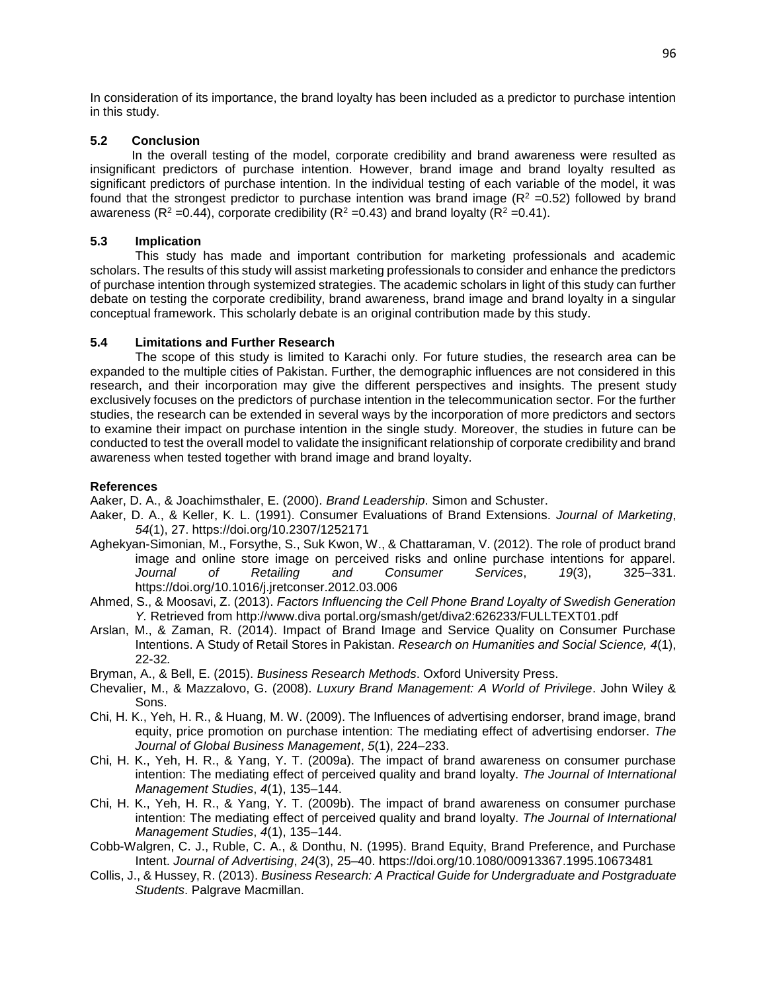In consideration of its importance, the brand loyalty has been included as a predictor to purchase intention in this study.

# **5.2 Conclusion**

 In the overall testing of the model, corporate credibility and brand awareness were resulted as insignificant predictors of purchase intention. However, brand image and brand loyalty resulted as significant predictors of purchase intention. In the individual testing of each variable of the model, it was found that the strongest predictor to purchase intention was brand image ( $R^2$  =0.52) followed by brand awareness ( $R^2$  =0.44), corporate credibility ( $R^2$  =0.43) and brand loyalty ( $R^2$  =0.41).

# **5.3 Implication**

This study has made and important contribution for marketing professionals and academic scholars. The results of this study will assist marketing professionals to consider and enhance the predictors of purchase intention through systemized strategies. The academic scholars in light of this study can further debate on testing the corporate credibility, brand awareness, brand image and brand loyalty in a singular conceptual framework. This scholarly debate is an original contribution made by this study.

# **5.4 Limitations and Further Research**

The scope of this study is limited to Karachi only. For future studies, the research area can be expanded to the multiple cities of Pakistan. Further, the demographic influences are not considered in this research, and their incorporation may give the different perspectives and insights. The present study exclusively focuses on the predictors of purchase intention in the telecommunication sector. For the further studies, the research can be extended in several ways by the incorporation of more predictors and sectors to examine their impact on purchase intention in the single study. Moreover, the studies in future can be conducted to test the overall model to validate the insignificant relationship of corporate credibility and brand awareness when tested together with brand image and brand loyalty.

# **References**

Aaker, D. A., & Joachimsthaler, E. (2000). *Brand Leadership*. Simon and Schuster.

- Aaker, D. A., & Keller, K. L. (1991). Consumer Evaluations of Brand Extensions. *Journal of Marketing*, *54*(1), 27. https://doi.org/10.2307/1252171
- Aghekyan-Simonian, M., Forsythe, S., Suk Kwon, W., & Chattaraman, V. (2012). The role of product brand image and online store image on perceived risks and online purchase intentions for apparel. *Journal of Retailing and Consumer Services*, *19*(3), 325–331. https://doi.org/10.1016/j.jretconser.2012.03.006
- Ahmed, S., & Moosavi, Z. (2013). *Factors Influencing the Cell Phone Brand Loyalty of Swedish Generation Y.* Retrieved from http://www.diva portal.org/smash/get/diva2:626233/FULLTEXT01.pdf
- Arslan, M., & Zaman, R. (2014). Impact of Brand Image and Service Quality on Consumer Purchase Intentions. A Study of Retail Stores in Pakistan. *Research on Humanities and Social Science, 4*(1), 22-32*.*
- Bryman, A., & Bell, E. (2015). *Business Research Methods*. Oxford University Press.
- Chevalier, M., & Mazzalovo, G. (2008). *Luxury Brand Management: A World of Privilege*. John Wiley & Sons.
- Chi, H. K., Yeh, H. R., & Huang, M. W. (2009). The Influences of advertising endorser, brand image, brand equity, price promotion on purchase intention: The mediating effect of advertising endorser. *The Journal of Global Business Management*, *5*(1), 224–233.
- Chi, H. K., Yeh, H. R., & Yang, Y. T. (2009a). The impact of brand awareness on consumer purchase intention: The mediating effect of perceived quality and brand loyalty. *The Journal of International Management Studies*, *4*(1), 135–144.
- Chi, H. K., Yeh, H. R., & Yang, Y. T. (2009b). The impact of brand awareness on consumer purchase intention: The mediating effect of perceived quality and brand loyalty. *The Journal of International Management Studies*, *4*(1), 135–144.
- Cobb-Walgren, C. J., Ruble, C. A., & Donthu, N. (1995). Brand Equity, Brand Preference, and Purchase Intent. *Journal of Advertising*, *24*(3), 25–40. https://doi.org/10.1080/00913367.1995.10673481
- Collis, J., & Hussey, R. (2013). *Business Research: A Practical Guide for Undergraduate and Postgraduate Students*. Palgrave Macmillan.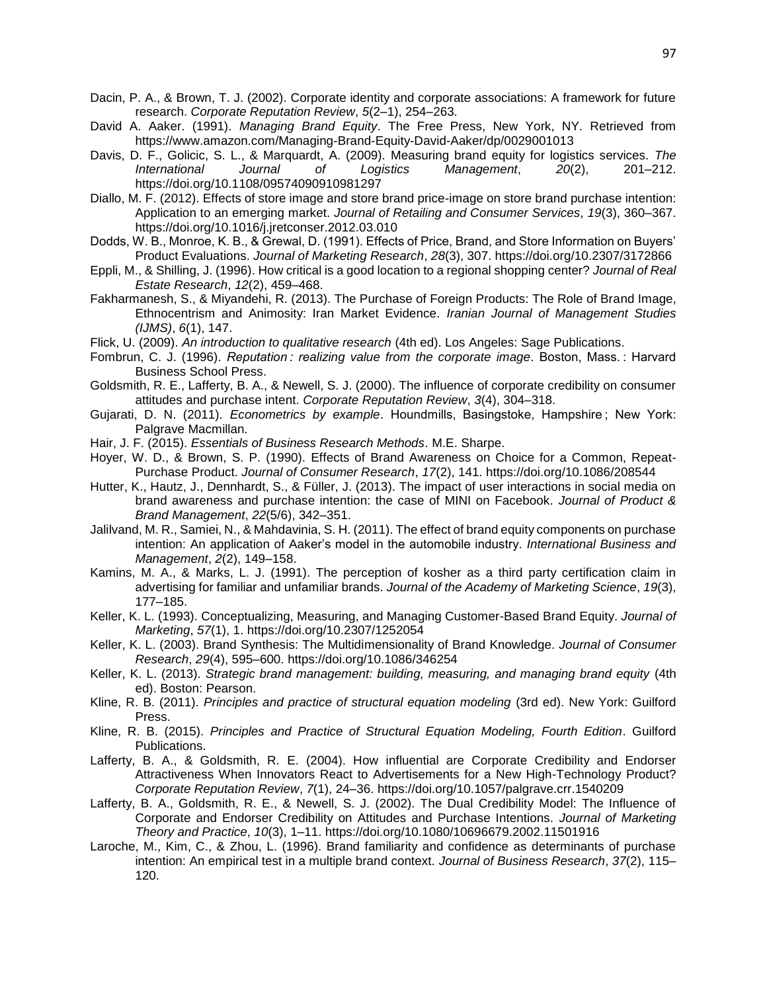- Dacin, P. A., & Brown, T. J. (2002). Corporate identity and corporate associations: A framework for future research. *Corporate Reputation Review*, *5*(2–1), 254–263.
- David A. Aaker. (1991). *Managing Brand Equity*. The Free Press, New York, NY. Retrieved from https://www.amazon.com/Managing-Brand-Equity-David-Aaker/dp/0029001013
- Davis, D. F., Golicic, S. L., & Marquardt, A. (2009). Measuring brand equity for logistics services. *The International Journal of Logistics Management*, *20*(2), 201–212. https://doi.org/10.1108/09574090910981297
- Diallo, M. F. (2012). Effects of store image and store brand price-image on store brand purchase intention: Application to an emerging market. *Journal of Retailing and Consumer Services*, *19*(3), 360–367. https://doi.org/10.1016/j.jretconser.2012.03.010
- Dodds, W. B., Monroe, K. B., & Grewal, D. (1991). Effects of Price, Brand, and Store Information on Buyers' Product Evaluations. *Journal of Marketing Research*, *28*(3), 307. https://doi.org/10.2307/3172866
- Eppli, M., & Shilling, J. (1996). How critical is a good location to a regional shopping center? *Journal of Real Estate Research*, *12*(2), 459–468.
- Fakharmanesh, S., & Miyandehi, R. (2013). The Purchase of Foreign Products: The Role of Brand Image, Ethnocentrism and Animosity: Iran Market Evidence. *Iranian Journal of Management Studies (IJMS)*, *6*(1), 147.
- Flick, U. (2009). *An introduction to qualitative research* (4th ed). Los Angeles: Sage Publications.
- Fombrun, C. J. (1996). *Reputation : realizing value from the corporate image*. Boston, Mass. : Harvard Business School Press.
- Goldsmith, R. E., Lafferty, B. A., & Newell, S. J. (2000). The influence of corporate credibility on consumer attitudes and purchase intent. *Corporate Reputation Review*, *3*(4), 304–318.
- Gujarati, D. N. (2011). *Econometrics by example*. Houndmills, Basingstoke, Hampshire; New York: Palgrave Macmillan.
- Hair, J. F. (2015). *Essentials of Business Research Methods*. M.E. Sharpe.
- Hoyer, W. D., & Brown, S. P. (1990). Effects of Brand Awareness on Choice for a Common, Repeat-Purchase Product. *Journal of Consumer Research*, *17*(2), 141. https://doi.org/10.1086/208544
- Hutter, K., Hautz, J., Dennhardt, S., & Füller, J. (2013). The impact of user interactions in social media on brand awareness and purchase intention: the case of MINI on Facebook. *Journal of Product & Brand Management*, *22*(5/6), 342–351.
- Jalilvand, M. R., Samiei, N., & Mahdavinia, S. H. (2011). The effect of brand equity components on purchase intention: An application of Aaker's model in the automobile industry. *International Business and Management*, *2*(2), 149–158.
- Kamins, M. A., & Marks, L. J. (1991). The perception of kosher as a third party certification claim in advertising for familiar and unfamiliar brands. *Journal of the Academy of Marketing Science*, *19*(3), 177–185.
- Keller, K. L. (1993). Conceptualizing, Measuring, and Managing Customer-Based Brand Equity. *Journal of Marketing*, *57*(1), 1. https://doi.org/10.2307/1252054
- Keller, K. L. (2003). Brand Synthesis: The Multidimensionality of Brand Knowledge. *Journal of Consumer Research*, *29*(4), 595–600. https://doi.org/10.1086/346254
- Keller, K. L. (2013). *Strategic brand management: building, measuring, and managing brand equity* (4th ed). Boston: Pearson.
- Kline, R. B. (2011). *Principles and practice of structural equation modeling* (3rd ed). New York: Guilford Press.
- Kline, R. B. (2015). *Principles and Practice of Structural Equation Modeling, Fourth Edition*. Guilford Publications.
- Lafferty, B. A., & Goldsmith, R. E. (2004). How influential are Corporate Credibility and Endorser Attractiveness When Innovators React to Advertisements for a New High-Technology Product? *Corporate Reputation Review*, *7*(1), 24–36. https://doi.org/10.1057/palgrave.crr.1540209
- Lafferty, B. A., Goldsmith, R. E., & Newell, S. J. (2002). The Dual Credibility Model: The Influence of Corporate and Endorser Credibility on Attitudes and Purchase Intentions. *Journal of Marketing Theory and Practice*, *10*(3), 1–11. https://doi.org/10.1080/10696679.2002.11501916
- Laroche, M., Kim, C., & Zhou, L. (1996). Brand familiarity and confidence as determinants of purchase intention: An empirical test in a multiple brand context. *Journal of Business Research*, *37*(2), 115– 120.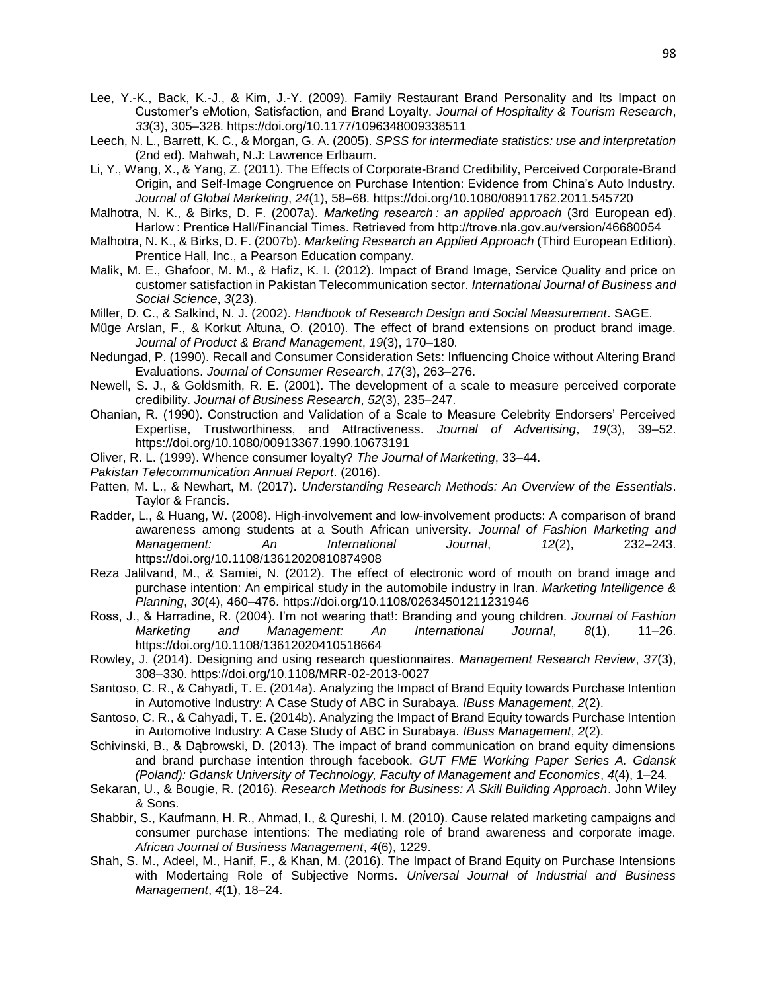- Lee, Y.-K., Back, K.-J., & Kim, J.-Y. (2009). Family Restaurant Brand Personality and Its Impact on Customer's eMotion, Satisfaction, and Brand Loyalty. *Journal of Hospitality & Tourism Research*, *33*(3), 305–328. https://doi.org/10.1177/1096348009338511
- Leech, N. L., Barrett, K. C., & Morgan, G. A. (2005). *SPSS for intermediate statistics: use and interpretation* (2nd ed). Mahwah, N.J: Lawrence Erlbaum.
- Li, Y., Wang, X., & Yang, Z. (2011). The Effects of Corporate-Brand Credibility, Perceived Corporate-Brand Origin, and Self-Image Congruence on Purchase Intention: Evidence from China's Auto Industry. *Journal of Global Marketing*, *24*(1), 58–68. https://doi.org/10.1080/08911762.2011.545720
- Malhotra, N. K., & Birks, D. F. (2007a). *Marketing research : an applied approach* (3rd European ed). Harlow : Prentice Hall/Financial Times. Retrieved from http://trove.nla.gov.au/version/46680054
- Malhotra, N. K., & Birks, D. F. (2007b). *Marketing Research an Applied Approach* (Third European Edition). Prentice Hall, Inc., a Pearson Education company.
- Malik, M. E., Ghafoor, M. M., & Hafiz, K. I. (2012). Impact of Brand Image, Service Quality and price on customer satisfaction in Pakistan Telecommunication sector. *International Journal of Business and Social Science*, *3*(23).
- Miller, D. C., & Salkind, N. J. (2002). *Handbook of Research Design and Social Measurement*. SAGE.
- Müge Arslan, F., & Korkut Altuna, O. (2010). The effect of brand extensions on product brand image. *Journal of Product & Brand Management*, *19*(3), 170–180.
- Nedungad, P. (1990). Recall and Consumer Consideration Sets: Influencing Choice without Altering Brand Evaluations. *Journal of Consumer Research*, *17*(3), 263–276.
- Newell, S. J., & Goldsmith, R. E. (2001). The development of a scale to measure perceived corporate credibility. *Journal of Business Research*, *52*(3), 235–247.
- Ohanian, R. (1990). Construction and Validation of a Scale to Measure Celebrity Endorsers' Perceived Expertise, Trustworthiness, and Attractiveness. *Journal of Advertising*, *19*(3), 39–52. https://doi.org/10.1080/00913367.1990.10673191
- Oliver, R. L. (1999). Whence consumer loyalty? *The Journal of Marketing*, 33–44.
- *Pakistan Telecommunication Annual Report*. (2016).
- Patten, M. L., & Newhart, M. (2017). *Understanding Research Methods: An Overview of the Essentials*. Taylor & Francis.
- Radder, L., & Huang, W. (2008). High‐involvement and low‐involvement products: A comparison of brand awareness among students at a South African university. *Journal of Fashion Marketing and Management: An International Journal*, *12*(2), 232–243. https://doi.org/10.1108/13612020810874908
- Reza Jalilvand, M., & Samiei, N. (2012). The effect of electronic word of mouth on brand image and purchase intention: An empirical study in the automobile industry in Iran. *Marketing Intelligence & Planning*, *30*(4), 460–476. https://doi.org/10.1108/02634501211231946
- Ross, J., & Harradine, R. (2004). I'm not wearing that!: Branding and young children. *Journal of Fashion Marketing and Management: An International Journal*, *8*(1), 11–26. https://doi.org/10.1108/13612020410518664
- Rowley, J. (2014). Designing and using research questionnaires. *Management Research Review*, *37*(3), 308–330. https://doi.org/10.1108/MRR-02-2013-0027
- Santoso, C. R., & Cahyadi, T. E. (2014a). Analyzing the Impact of Brand Equity towards Purchase Intention in Automotive Industry: A Case Study of ABC in Surabaya. *IBuss Management*, *2*(2).
- Santoso, C. R., & Cahyadi, T. E. (2014b). Analyzing the Impact of Brand Equity towards Purchase Intention in Automotive Industry: A Case Study of ABC in Surabaya. *IBuss Management*, *2*(2).
- Schivinski, B., & Dąbrowski, D. (2013). The impact of brand communication on brand equity dimensions and brand purchase intention through facebook. *GUT FME Working Paper Series A. Gdansk (Poland): Gdansk University of Technology, Faculty of Management and Economics*, *4*(4), 1–24.
- Sekaran, U., & Bougie, R. (2016). *Research Methods for Business: A Skill Building Approach*. John Wiley & Sons.
- Shabbir, S., Kaufmann, H. R., Ahmad, I., & Qureshi, I. M. (2010). Cause related marketing campaigns and consumer purchase intentions: The mediating role of brand awareness and corporate image. *African Journal of Business Management*, *4*(6), 1229.
- Shah, S. M., Adeel, M., Hanif, F., & Khan, M. (2016). The Impact of Brand Equity on Purchase Intensions with Modertaing Role of Subjective Norms. *Universal Journal of Industrial and Business Management*, *4*(1), 18–24.